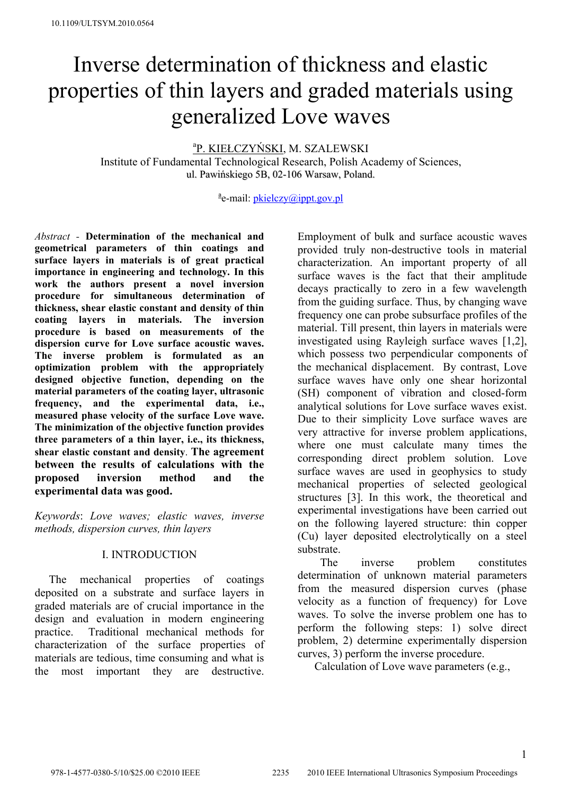# Inverse determination of thickness and elastic properties of thin layers and graded materials using generalized Love waves

**P. KIEŁCZYŃSKI, M. SZALEWSKI** 

Institute of Fundamental Technological Research, Polish Academy of Sciences, ul. Pawińskiego 5B, 02-106 Warsaw, Poland.

### <sup>a</sup>e-mail: pkielczy@ippt.gov.pl

*Abstract -* **Determination of the mechanical and geometrical parameters of thin coatings and surface layers in materials is of great practical importance in engineering and technology. In this work the authors present a novel inversion procedure for simultaneous determination of thickness, shear elastic constant and density of thin coating layers in materials. The inversion procedure is based on measurements of the dispersion curve for Love surface acoustic waves. The inverse problem is formulated as an optimization problem with the appropriately designed objective function, depending on the material parameters of the coating layer, ultrasonic frequency, and the experimental data, i.e., measured phase velocity of the surface Love wave. The minimization of the objective function provides three parameters of a thin layer, i.e., its thickness, shear elastic constant and density**. **The agreement between the results of calculations with the proposed inversion method and the experimental data was good.** 

*Keywords*: *Love waves; elastic waves, inverse methods, dispersion curves, thin layers* 

## I. INTRODUCTION

 The mechanical properties of coatings deposited on a substrate and surface layers in graded materials are of crucial importance in the design and evaluation in modern engineering practice. Traditional mechanical methods for characterization of the surface properties of materials are tedious, time consuming and what is the most important they are destructive.

Employment of bulk and surface acoustic waves provided truly non-destructive tools in material characterization. An important property of all surface waves is the fact that their amplitude decays practically to zero in a few wavelength from the guiding surface. Thus, by changing wave frequency one can probe subsurface profiles of the material. Till present, thin layers in materials were investigated using Rayleigh surface waves [1,2], which possess two perpendicular components of the mechanical displacement. By contrast, Love surface waves have only one shear horizontal (SH) component of vibration and closed-form analytical solutions for Love surface waves exist. Due to their simplicity Love surface waves are very attractive for inverse problem applications, where one must calculate many times the corresponding direct problem solution. Love surface waves are used in geophysics to study mechanical properties of selected geological structures [3]. In this work, the theoretical and experimental investigations have been carried out on the following layered structure: thin copper (Cu) layer deposited electrolytically on a steel substrate.

 The inverse problem constitutes determination of unknown material parameters from the measured dispersion curves (phase velocity as a function of frequency) for Love waves. To solve the inverse problem one has to perform the following steps: 1) solve direct problem, 2) determine experimentally dispersion curves, 3) perform the inverse procedure.

Calculation of Love wave parameters (e.g.,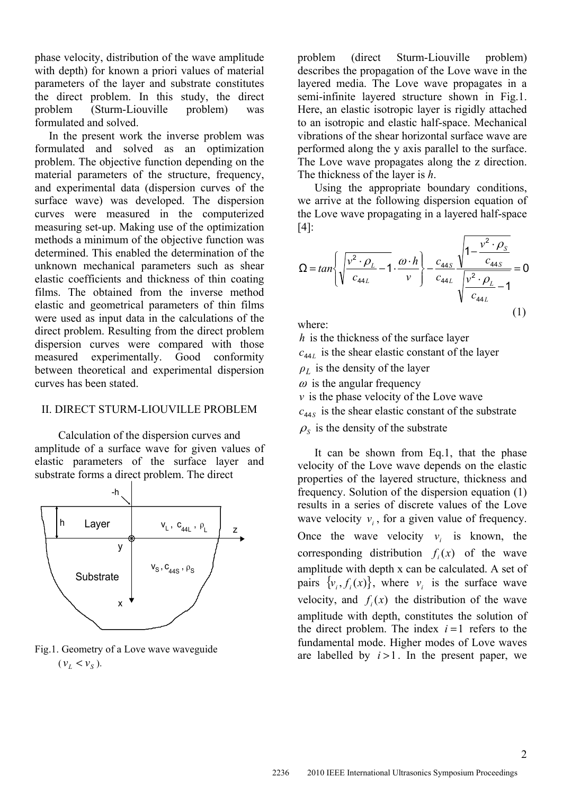phase velocity, distribution of the wave amplitude with depth) for known a priori values of material parameters of the layer and substrate constitutes the direct problem. In this study, the direct problem (Sturm-Liouville problem) was formulated and solved.

 In the present work the inverse problem was formulated and solved as an optimization problem. The objective function depending on the material parameters of the structure, frequency, and experimental data (dispersion curves of the surface wave) was developed. The dispersion curves were measured in the computerized measuring set-up. Making use of the optimization methods a minimum of the objective function was determined. This enabled the determination of the unknown mechanical parameters such as shear elastic coefficients and thickness of thin coating films. The obtained from the inverse method elastic and geometrical parameters of thin films were used as input data in the calculations of the direct problem. Resulting from the direct problem dispersion curves were compared with those measured experimentally. Good conformity between theoretical and experimental dispersion curves has been stated.

## II. DIRECT STURM-LIOUVILLE PROBLEM

Calculation of the dispersion curves and amplitude of a surface wave for given values of elastic parameters of the surface layer and substrate forms a direct problem. The direct



Fig.1. Geometry of a Love wave waveguide  $(\nu_L < \nu_S)$ .

problem (direct Sturm-Liouville problem) describes the propagation of the Love wave in the layered media. The Love wave propagates in a semi-infinite layered structure shown in Fig.1. Here, an elastic isotropic layer is rigidly attached to an isotropic and elastic half-space. Mechanical vibrations of the shear horizontal surface wave are performed along the y axis parallel to the surface. The Love wave propagates along the z direction. The thickness of the layer is *h*.

 Using the appropriate boundary conditions, we arrive at the following dispersion equation of the Love wave propagating in a layered half-space [4]:

$$
\Omega = \tan \left\{ \sqrt{\frac{v^2 \cdot \rho_L}{c_{44L}} - 1} \cdot \frac{\omega \cdot h}{v} \right\} - \frac{c_{44S}}{c_{44L}} \frac{\sqrt{1 - \frac{v^2 \cdot \rho_S}{c_{44S}}}}{\sqrt{\frac{v^2 \cdot \rho_L}{c_{44L}} - 1}} = 0
$$
\n(1)

where:

*h* is the thickness of the surface layer  $c_{44L}$  is the shear elastic constant of the layer  $\rho_L$  is the density of the layer  $\omega$  is the angular frequency *v* is the phase velocity of the Love wave  $c_{44s}$  is the shear elastic constant of the substrate

 $\rho_s$  is the density of the substrate

 It can be shown from Eq.1, that the phase velocity of the Love wave depends on the elastic properties of the layered structure, thickness and frequency. Solution of the dispersion equation (1) results in a series of discrete values of the Love wave velocity  $v_i$ , for a given value of frequency. Once the wave velocity  $v_i$  is known, the corresponding distribution  $f_i(x)$  of the wave amplitude with depth x can be calculated. A set of pairs  $\{v_i, f_i(x)\}\$ , where  $v_i$  is the surface wave velocity, and  $f_i(x)$  the distribution of the wave amplitude with depth, constitutes the solution of the direct problem. The index  $i = 1$  refers to the fundamental mode. Higher modes of Love waves are labelled by  $i > 1$ . In the present paper, we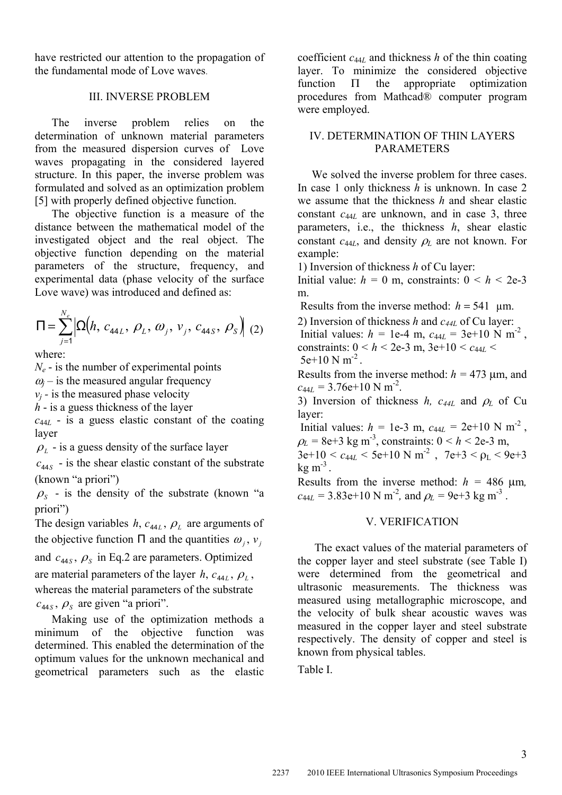have restricted our attention to the propagation of the fundamental mode of Love waves.

#### III. INVERSE PROBLEM

 The inverse problem relies on the determination of unknown material parameters from the measured dispersion curves of Love waves propagating in the considered layered structure. In this paper, the inverse problem was formulated and solved as an optimization problem [5] with properly defined objective function.

 The objective function is a measure of the distance between the mathematical model of the investigated object and the real object. The objective function depending on the material parameters of the structure, frequency, and experimental data (phase velocity of the surface Love wave) was introduced and defined as:

$$
\Pi = \sum_{j=1}^{N_e} \left| \Omega \left( h, \, c_{44L}, \, \rho_L, \, \omega_j, \, v_j, \, c_{44S}, \, \rho_S \right) \right| \, (2)
$$

where:

*N<sub>e</sub>* - is the number of experimental points

 $\omega_i$  – is the measured angular frequency

 $v_i$  - is the measured phase velocity

*h* - is a guess thickness of the layer

*c*44*L* - is a guess elastic constant of the coating layer

 $\rho_L$  - is a guess density of the surface layer

 $c_{44s}$  - is the shear elastic constant of the substrate (known "a priori")

 $\rho_s$  - is the density of the substrate (known "a priori")

The design variables  $h$ ,  $c_{44L}$ ,  $\rho$ <sub>L</sub> are arguments of the objective function  $\Pi$  and the quantities  $\omega_i$ ,  $v_i$ 

and  $c_{44s}$ ,  $\rho_s$  in Eq.2 are parameters. Optimized

are material parameters of the layer  $h$ ,  $c_{44}$ ,  $\rho$ <sub>l</sub>, whereas the material parameters of the substrate  $c_{44S}$ ,  $\rho_S$  are given "a priori".

 Making use of the optimization methods a minimum of the objective function was determined. This enabled the determination of the optimum values for the unknown mechanical and geometrical parameters such as the elastic

coefficient *c*44*L* and thickness *h* of the thin coating layer. To minimize the considered objective function Π the appropriate optimization procedures from Mathcad® computer program were employed.

## IV. DETERMINATION OF THIN LAYERS PARAMETERS

 We solved the inverse problem for three cases. In case 1 only thickness *h* is unknown. In case 2 we assume that the thickness *h* and shear elastic constant *c*44*L* are unknown, and in case 3, three parameters, i.e., the thickness *h*, shear elastic constant  $c_{44L}$ , and density  $\rho_L$  are not known. For example:

1) Inversion of thickness *h* of Cu layer:

Initial value:  $h = 0$  m, constraints:  $0 \le h \le 2e-3$ m.

Results from the inverse method:  $h = 541$  µm.

2) Inversion of thickness *h* and *c44L* of Cu layer: Initial values:  $h = 1e-4$  m,  $c_{44L} = 3e+10$  N m<sup>-2</sup>, constraints:  $0 < h < 2e-3$  m,  $3e+10 < c_{44L} <$  $5e+10$  N m<sup>-2</sup>.

Results from the inverse method: *h =* 473 μm, and  $c_{44L} = 3.76e+10 \text{ N m}^2$ .

3) Inversion of thickness  $h$ ,  $c_{44L}$  and  $\rho_L$  of Cu layer:

Initial values:  $h = 1e-3$  m,  $c_{44L} = 2e+10$  N m<sup>-2</sup>,  $\rho_L = 8e + 3 \text{ kg m}^3$ , constraints:  $0 < h < 2e - 3 \text{ m}$ ,

 $3e+10 < c_{44L} < 5e+10 \text{ N m}^2$ ,  $7e+3 < \rho_L < 9e+3$  $k\text{e m}^3$ .

Results from the inverse method:  $h = 486 \mu m$ ,  $c_{44L} = 3.83e+10 \text{ N m}^2$ , and  $\rho_L = 9e+3 \text{ kg m}^3$ .

## V. VERIFICATION

 The exact values of the material parameters of the copper layer and steel substrate (see Table I) were determined from the geometrical and ultrasonic measurements. The thickness was measured using metallographic microscope, and the velocity of bulk shear acoustic waves was measured in the copper layer and steel substrate respectively. The density of copper and steel is known from physical tables.

Table I.